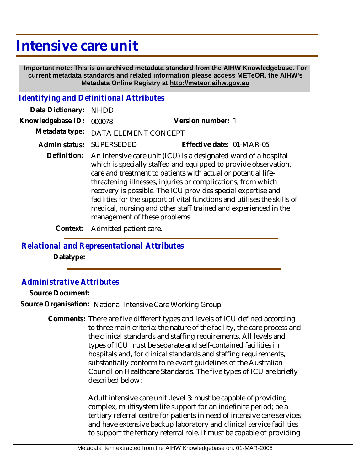## **Intensive care unit**

 **Important note: This is an archived metadata standard from the AIHW Knowledgebase. For current metadata standards and related information please access METeOR, the AIHW's Metadata Online Registry at http://meteor.aihw.gov.au**

## *Identifying and Definitional Attributes*

| Data Dictionary:  | <b>NHDD</b>                                                                                                                                                                                                                                                                                                                                                                                                                                                                                                         |                           |
|-------------------|---------------------------------------------------------------------------------------------------------------------------------------------------------------------------------------------------------------------------------------------------------------------------------------------------------------------------------------------------------------------------------------------------------------------------------------------------------------------------------------------------------------------|---------------------------|
| Knowledgebase ID: | 000078                                                                                                                                                                                                                                                                                                                                                                                                                                                                                                              | Version number: 1         |
| Metadata type:    | DATA ELEMENT CONCEPT                                                                                                                                                                                                                                                                                                                                                                                                                                                                                                |                           |
| Admin status:     | <b>SUPERSEDED</b>                                                                                                                                                                                                                                                                                                                                                                                                                                                                                                   | Effective date: 01-MAR-05 |
| Definition:       | An intensive care unit (ICU) is a designated ward of a hospital<br>which is specially staffed and equipped to provide observation,<br>care and treatment to patients with actual or potential life-<br>threatening illnesses, injuries or complications, from which<br>recovery is possible. The ICU provides special expertise and<br>facilities for the support of vital functions and utilises the skills of<br>medical, nursing and other staff trained and experienced in the<br>management of these problems. |                           |

**Context:** Admitted patient care.

## *Relational and Representational Attributes*

**Datatype:**

## *Administrative Attributes*

**Source Document:**

**Source Organisation:** National Intensive Care Working Group

Comments: There are five different types and levels of ICU defined according to three main criteria: the nature of the facility, the care process and the clinical standards and staffing requirements. All levels and types of ICU must be separate and self-contained facilities in hospitals and, for clinical standards and staffing requirements, substantially conform to relevant guidelines of the Australian Council on Healthcare Standards. The five types of ICU are briefly described below:

> Adult intensive care unit .level 3: must be capable of providing complex, multisystem life support for an indefinite period; be a tertiary referral centre for patients in need of intensive care services and have extensive backup laboratory and clinical service facilities to support the tertiary referral role. It must be capable of providing